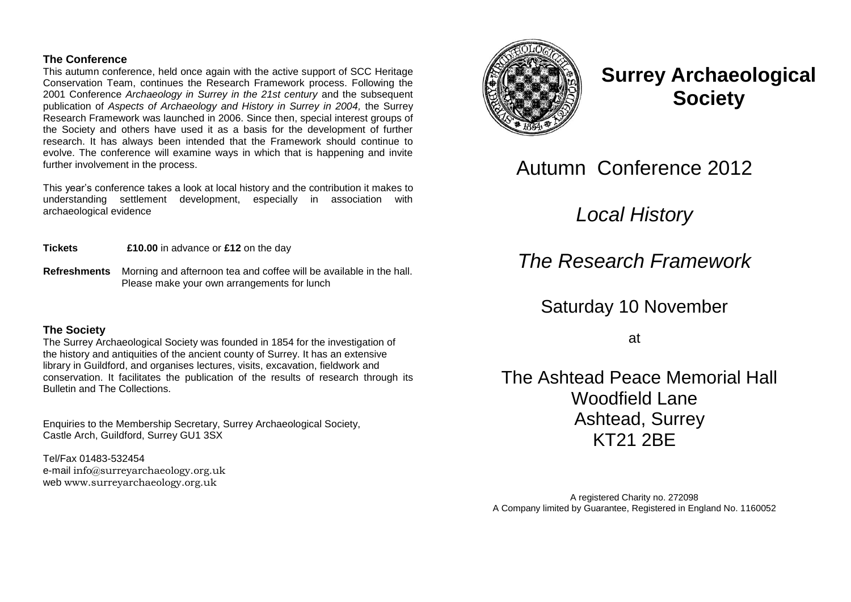#### **The Conference**

This autumn conference, held once again with the active support of SCC Heritage Conservation Team, continues the Research Framework process. Following the 2001 Conference *Archaeology in Surrey in the 21st century* and the subsequent publication of *Aspects of Archaeology and History in Surrey in 2004,* the Surrey Research Framework was launched in 2006. Since then, special interest groups of the Society and others have used it as a basis for the development of further research. It has always been intended that the Framework should continue to evolve. The conference will examine ways in which that is happening and invite further involvement in the process.

This year's conference takes a look at local history and the contribution it makes to understanding settlement development, especially in association with archaeological evidence

**Tickets £10.00** in advance or **£12** on the day

**Refreshments** Morning and afternoon tea and coffee will be available in the hall. Please make your own arrangements for lunch

## **The Society**

The Surrey Archaeological Society was founded in 1854 for the investigation of the history and antiquities of the ancient county of Surrey. It has an extensive library in Guildford, and organises lectures, visits, excavation, fieldwork and conservation. It facilitates the publication of the results of research through its Bulletin and The Collections.

Enquiries to the Membership Secretary, Surrey Archaeological Society, Castle Arch, Guildford, Surrey GU1 3SX

Tel/Fax 01483-532454 e-mail [info@surreyarchaeology.org.uk](mailto:info@surreyarchaeology.org.uk) web [www.surreyarchaeology.org.uk](http://www.surreyarchaeologuy.org.uk/)



# **Surrey Archaeological Society**

Autumn Conference 2012

*Local History*

*The Research Framework*

Saturday 10 November

at

 The Ashtead Peace Memorial Hall Woodfield Lane Ashtead, Surrey KT21 2BE

A registered Charity no. 272098 A Company limited by Guarantee, Registered in England No. 1160052